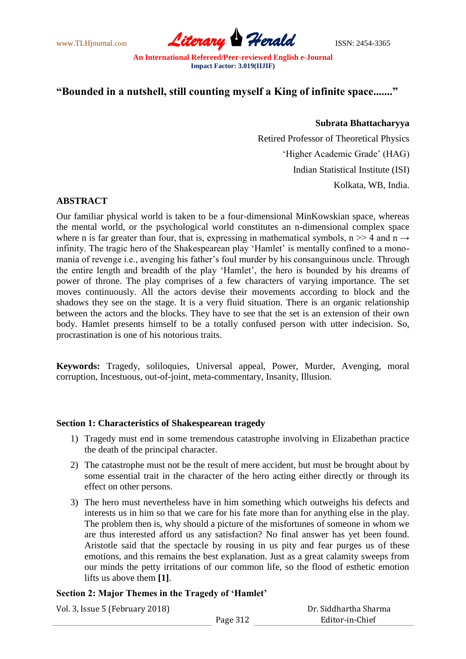www.TLHjournal.com **Literary Herald** ISSN: 2454-3365

# **"Bounded in a nutshell, still counting myself a King of infinite space......."**

### **Subrata Bhattacharyya**

Retired Professor of Theoretical Physics ‗Higher Academic Grade' (HAG) Indian Statistical Institute (ISI)

Kolkata, WB, India.

# **ABSTRACT**

Our familiar physical world is taken to be a four-dimensional MinKowskian space, whereas the mental world, or the psychological world constitutes an n-dimensional complex space where n is far greater than four, that is, expressing in mathematical symbols,  $n \gg 4$  and  $n \rightarrow$ infinity. The tragic hero of the Shakespearean play 'Hamlet' is mentally confined to a monomania of revenge i.e., avenging his father's foul murder by his consanguinous uncle. Through the entire length and breadth of the play 'Hamlet', the hero is bounded by his dreams of power of throne. The play comprises of a few characters of varying importance. The set moves continuously. All the actors devise their movements according to block and the shadows they see on the stage. It is a very fluid situation. There is an organic relationship between the actors and the blocks. They have to see that the set is an extension of their own body. Hamlet presents himself to be a totally confused person with utter indecision. So, procrastination is one of his notorious traits.

**Keywords:** Tragedy, soliloquies, Universal appeal, Power, Murder, Avenging, moral corruption, Incestuous, out-of-joint, meta-commentary, Insanity, Illusion.

# **Section 1: Characteristics of Shakespearean tragedy**

- 1) Tragedy must end in some tremendous catastrophe involving in Elizabethan practice the death of the principal character.
- 2) The catastrophe must not be the result of mere accident, but must be brought about by some essential trait in the character of the hero acting either directly or through its effect on other persons.
- 3) The hero must nevertheless have in him something which outweighs his defects and interests us in him so that we care for his fate more than for anything else in the play. The problem then is, why should a picture of the misfortunes of someone in whom we are thus interested afford us any satisfaction? No final answer has yet been found. Aristotle said that the spectacle by rousing in us pity and fear purges us of these emotions, and this remains the best explanation. Just as a great calamity sweeps from our minds the petty irritations of our common life, so the flood of esthetic emotion lifts us above them **[1]**.

# **Section 2: Major Themes in the Tragedy of "Hamlet"**

| Vol. 3, Issue 5 (February 2018) | Dr. Siddhartha Sharma |                 |
|---------------------------------|-----------------------|-----------------|
|                                 | Page 312              | Editor-in-Chief |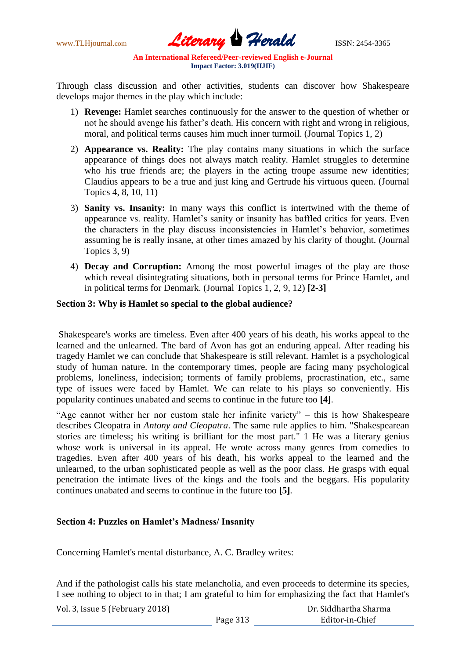

Through class discussion and other activities, students can discover how Shakespeare develops major themes in the play which include:

- 1) **Revenge:** Hamlet searches continuously for the answer to the question of whether or not he should avenge his father's death. His concern with right and wrong in religious, moral, and political terms causes him much inner turmoil. (Journal Topics 1, 2)
- 2) **Appearance vs. Reality:** The play contains many situations in which the surface appearance of things does not always match reality. Hamlet struggles to determine who his true friends are; the players in the acting troupe assume new identities; Claudius appears to be a true and just king and Gertrude his virtuous queen. (Journal Topics 4, 8, 10, 11)
- 3) **Sanity vs. Insanity:** In many ways this conflict is intertwined with the theme of appearance vs. reality. Hamlet's sanity or insanity has baffled critics for years. Even the characters in the play discuss inconsistencies in Hamlet's behavior, sometimes assuming he is really insane, at other times amazed by his clarity of thought. (Journal Topics 3, 9)
- 4) **Decay and Corruption:** Among the most powerful images of the play are those which reveal disintegrating situations, both in personal terms for Prince Hamlet, and in political terms for Denmark. (Journal Topics 1, 2, 9, 12) **[2-3]**

# **Section 3: Why is Hamlet so special to the global audience?**

Shakespeare's works are timeless. Even after 400 years of his death, his works appeal to the learned and the unlearned. The bard of Avon has got an enduring appeal. After reading his tragedy Hamlet we can conclude that Shakespeare is still relevant. Hamlet is a psychological study of human nature. In the contemporary times, people are facing many psychological problems, loneliness, indecision; torments of family problems, procrastination, etc., same type of issues were faced by Hamlet. We can relate to his plays so conveniently. His popularity continues unabated and seems to continue in the future too **[4]**.

"Age cannot wither her nor custom stale her infinite variety" – this is how Shakespeare describes Cleopatra in *Antony and Cleopatra*. The same rule applies to him. "Shakespearean stories are timeless; his writing is brilliant for the most part." 1 He was a literary genius whose work is universal in its appeal. He wrote across many genres from comedies to tragedies. Even after 400 years of his death, his works appeal to the learned and the unlearned, to the urban sophisticated people as well as the poor class. He grasps with equal penetration the intimate lives of the kings and the fools and the beggars. His popularity continues unabated and seems to continue in the future too **[5]**.

#### **Section 4: Puzzles on Hamlet"s Madness/ Insanity**

Concerning Hamlet's mental disturbance, A. C. Bradley writes:

And if the pathologist calls his state melancholia, and even proceeds to determine its species, I see nothing to object to in that; I am grateful to him for emphasizing the fact that Hamlet's

| Vol. 3, Issue 5 (February 2018) | Dr. Siddhartha Sharma |                 |
|---------------------------------|-----------------------|-----------------|
|                                 | Page 313              | Editor-in-Chief |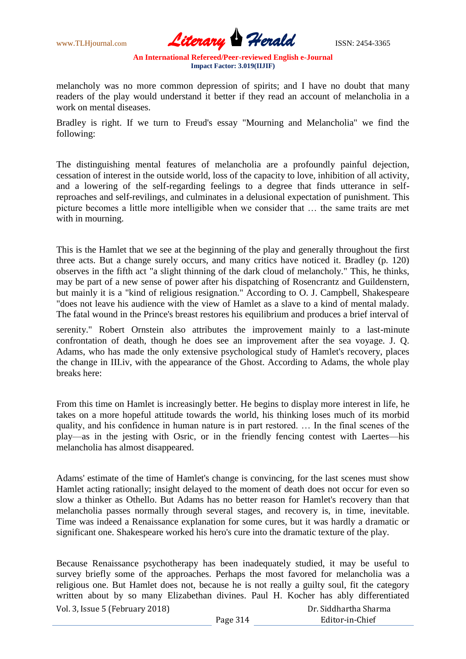www.TLHjournal.com **Literary Herald** ISSN: 2454-3365

melancholy was no more common depression of spirits; and I have no doubt that many readers of the play would understand it better if they read an account of melancholia in a work on mental diseases.

Bradley is right. If we turn to Freud's essay "Mourning and Melancholia" we find the following:

The distinguishing mental features of melancholia are a profoundly painful dejection, cessation of interest in the outside world, loss of the capacity to love, inhibition of all activity, and a lowering of the self-regarding feelings to a degree that finds utterance in selfreproaches and self-revilings, and culminates in a delusional expectation of punishment. This picture becomes a little more intelligible when we consider that … the same traits are met with in mourning.

This is the Hamlet that we see at the beginning of the play and generally throughout the first three acts. But a change surely occurs, and many critics have noticed it. Bradley (p. 120) observes in the fifth act "a slight thinning of the dark cloud of melancholy." This, he thinks, may be part of a new sense of power after his dispatching of Rosencrantz and Guildenstern, but mainly it is a "kind of religious resignation." According to O. J. Campbell, Shakespeare "does not leave his audience with the view of Hamlet as a slave to a kind of mental malady. The fatal wound in the Prince's breast restores his equilibrium and produces a brief interval of

serenity." Robert Ornstein also attributes the improvement mainly to a last-minute confrontation of death, though he does see an improvement after the sea voyage. J. Q. Adams, who has made the only extensive psychological study of Hamlet's recovery, places the change in III.iv, with the appearance of the Ghost. According to Adams, the whole play breaks here:

From this time on Hamlet is increasingly better. He begins to display more interest in life, he takes on a more hopeful attitude towards the world, his thinking loses much of its morbid quality, and his confidence in human nature is in part restored. … In the final scenes of the play—as in the jesting with Osric, or in the friendly fencing contest with Laertes—his melancholia has almost disappeared.

Adams' estimate of the time of Hamlet's change is convincing, for the last scenes must show Hamlet acting rationally; insight delayed to the moment of death does not occur for even so slow a thinker as Othello. But Adams has no better reason for Hamlet's recovery than that melancholia passes normally through several stages, and recovery is, in time, inevitable. Time was indeed a Renaissance explanation for some cures, but it was hardly a dramatic or significant one. Shakespeare worked his hero's cure into the dramatic texture of the play.

Vol. 3, Issue 5 (February 2018) Because Renaissance psychotherapy has been inadequately studied, it may be useful to survey briefly some of the approaches. Perhaps the most favored for melancholia was a religious one. But Hamlet does not, because he is not really a guilty soul, fit the category written about by so many Elizabethan divines. Paul H. Kocher has ably differentiated

|          | Dr. Siddhartha Sharma |
|----------|-----------------------|
| Page 314 | Editor-in-Chief       |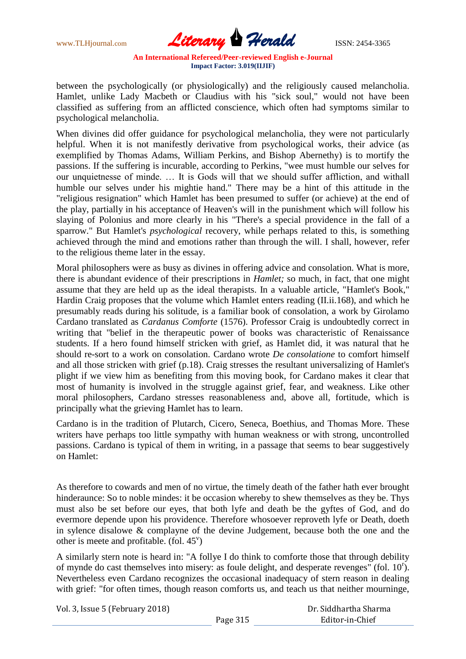

between the psychologically (or physiologically) and the religiously caused melancholia. Hamlet, unlike Lady Macbeth or Claudius with his "sick soul," would not have been classified as suffering from an afflicted conscience, which often had symptoms similar to psychological melancholia.

When divines did offer guidance for psychological melancholia, they were not particularly helpful. When it is not manifestly derivative from psychological works, their advice (as exemplified by Thomas Adams, William Perkins, and Bishop Abernethy) is to mortify the passions. If the suffering is incurable, according to Perkins, "wee must humble our selves for our unquietnesse of minde. … It is Gods will that we should suffer affliction, and withall humble our selves under his mightie hand." There may be a hint of this attitude in the "religious resignation" which Hamlet has been presumed to suffer (or achieve) at the end of the play, partially in his acceptance of Heaven's will in the punishment which will follow his slaying of Polonius and more clearly in his "There's a special providence in the fall of a sparrow." But Hamlet's *psychological* recovery, while perhaps related to this, is something achieved through the mind and emotions rather than through the will. I shall, however, refer to the religious theme later in the essay.

Moral philosophers were as busy as divines in offering advice and consolation. What is more, there is abundant evidence of their prescriptions in *Hamlet;* so much, in fact, that one might assume that they are held up as the ideal therapists. In a valuable article, "Hamlet's Book," Hardin Craig proposes that the volume which Hamlet enters reading (II.ii.168), and which he presumably reads during his solitude, is a familiar book of consolation, a work by Girolamo Cardano translated as *Cardanus Comforte* (1576). Professor Craig is undoubtedly correct in writing that "belief in the therapeutic power of books was characteristic of Renaissance students. If a hero found himself stricken with grief, as Hamlet did, it was natural that he should re-sort to a work on consolation. Cardano wrote *De consolatione* to comfort himself and all those stricken with grief (p.18). Craig stresses the resultant universalizing of Hamlet's plight if we view him as benefiting from this moving book, for Cardano makes it clear that most of humanity is involved in the struggle against grief, fear, and weakness. Like other moral philosophers, Cardano stresses reasonableness and, above all, fortitude, which is principally what the grieving Hamlet has to learn.

Cardano is in the tradition of Plutarch, Cicero, Seneca, Boethius, and Thomas More. These writers have perhaps too little sympathy with human weakness or with strong, uncontrolled passions. Cardano is typical of them in writing, in a passage that seems to bear suggestively on Hamlet:

As therefore to cowards and men of no virtue, the timely death of the father hath ever brought hinderaunce: So to noble mindes: it be occasion whereby to shew themselves as they be. Thys must also be set before our eyes, that both lyfe and death be the gyftes of God, and do evermore depende upon his providence. Therefore whosoever reproveth lyfe or Death, doeth in sylence disalowe & complayne of the devine Judgement, because both the one and the other is meete and profitable.  $(fol. 45^{\nu})$ 

A similarly stern note is heard in: "A follye I do think to comforte those that through debility of mynde do cast themselves into misery: as foule delight, and desperate revenges" (fol. 10<sup>r</sup>). Nevertheless even Cardano recognizes the occasional inadequacy of stern reason in dealing with grief: "for often times, though reason comforts us, and teach us that neither mourninge,

| Vol. 3, Issue 5 (February 2018) | Dr. Siddhartha Sharma |                 |
|---------------------------------|-----------------------|-----------------|
|                                 | Page 315              | Editor-in-Chief |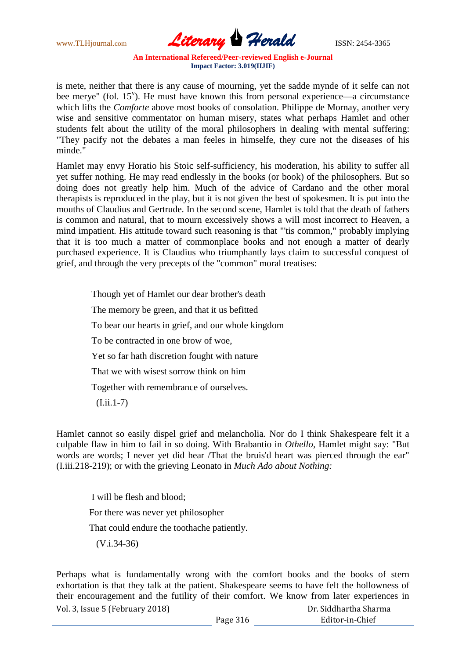www.TLHjournal.com **Literary Herald** ISSN: 2454-3365

is mete, neither that there is any cause of mourning, yet the sadde mynde of it selfe can not bee merye" (fol. 15<sup>v</sup>). He must have known this from personal experience—a circumstance which lifts the *Comforte* above most books of consolation. Philippe de Mornay, another very wise and sensitive commentator on human misery, states what perhaps Hamlet and other students felt about the utility of the moral philosophers in dealing with mental suffering: "They pacify not the debates a man feeles in himselfe, they cure not the diseases of his minde."

Hamlet may envy Horatio his Stoic self-sufficiency, his moderation, his ability to suffer all yet suffer nothing. He may read endlessly in the books (or book) of the philosophers. But so doing does not greatly help him. Much of the advice of Cardano and the other moral therapists is reproduced in the play, but it is not given the best of spokesmen. It is put into the mouths of Claudius and Gertrude. In the second scene, Hamlet is told that the death of fathers is common and natural, that to mourn excessively shows a will most incorrect to Heaven, a mind impatient. His attitude toward such reasoning is that "'tis common," probably implying that it is too much a matter of commonplace books and not enough a matter of dearly purchased experience. It is Claudius who triumphantly lays claim to successful conquest of grief, and through the very precepts of the "common" moral treatises:

 Though yet of Hamlet our dear brother's death The memory be green, and that it us befitted To bear our hearts in grief, and our whole kingdom To be contracted in one brow of woe, Yet so far hath discretion fought with nature That we with wisest sorrow think on him Together with remembrance of ourselves. (I.ii.1-7)

Hamlet cannot so easily dispel grief and melancholia. Nor do I think Shakespeare felt it a culpable flaw in him to fail in so doing. With Brabantio in *Othello,* Hamlet might say: "But words are words; I never yet did hear /That the bruis'd heart was pierced through the ear" (I.iii.218-219); or with the grieving Leonato in *Much Ado about Nothing:*

 I will be flesh and blood; For there was never yet philosopher That could endure the toothache patiently. (V.i.34-36)

Vol. 3, Issue 5 (February 2018) Dr. Siddhartha Sharma Perhaps what is fundamentally wrong with the comfort books and the books of stern exhortation is that they talk at the patient. Shakespeare seems to have felt the hollowness of their encouragement and the futility of their comfort. We know from later experiences in

Editor-in-Chief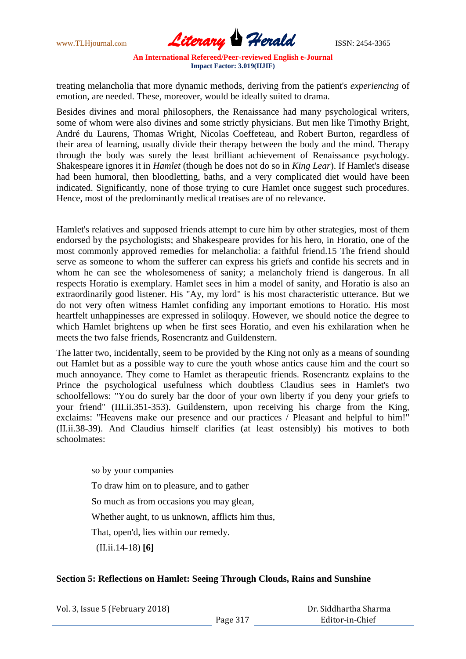

treating melancholia that more dynamic methods, deriving from the patient's *experiencing* of emotion, are needed. These, moreover, would be ideally suited to drama.

Besides divines and moral philosophers, the Renaissance had many psychological writers, some of whom were also divines and some strictly physicians. But men like Timothy Bright, André du Laurens, Thomas Wright, Nicolas Coeffeteau, and Robert Burton, regardless of their area of learning, usually divide their therapy between the body and the mind. Therapy through the body was surely the least brilliant achievement of Renaissance psychology. Shakespeare ignores it in *Hamlet* (though he does not do so in *King Lear*). If Hamlet's disease had been humoral, then bloodletting, baths, and a very complicated diet would have been indicated. Significantly, none of those trying to cure Hamlet once suggest such procedures. Hence, most of the predominantly medical treatises are of no relevance.

Hamlet's relatives and supposed friends attempt to cure him by other strategies, most of them endorsed by the psychologists; and Shakespeare provides for his hero, in Horatio, one of the most commonly approved remedies for melancholia: a faithful friend.15 The friend should serve as someone to whom the sufferer can express his griefs and confide his secrets and in whom he can see the wholesomeness of sanity; a melancholy friend is dangerous. In all respects Horatio is exemplary. Hamlet sees in him a model of sanity, and Horatio is also an extraordinarily good listener. His "Ay, my lord" is his most characteristic utterance. But we do not very often witness Hamlet confiding any important emotions to Horatio. His most heartfelt unhappinesses are expressed in soliloquy. However, we should notice the degree to which Hamlet brightens up when he first sees Horatio, and even his exhilaration when he meets the two false friends, Rosencrantz and Guildenstern.

The latter two, incidentally, seem to be provided by the King not only as a means of sounding out Hamlet but as a possible way to cure the youth whose antics cause him and the court so much annoyance. They come to Hamlet as therapeutic friends. Rosencrantz explains to the Prince the psychological usefulness which doubtless Claudius sees in Hamlet's two schoolfellows: "You do surely bar the door of your own liberty if you deny your griefs to your friend" (III.ii.351-353). Guildenstern, upon receiving his charge from the King, exclaims: "Heavens make our presence and our practices / Pleasant and helpful to him!" (II.ii.38-39). And Claudius himself clarifies (at least ostensibly) his motives to both schoolmates:

 so by your companies To draw him on to pleasure, and to gather So much as from occasions you may glean, Whether aught, to us unknown, afflicts him thus, That, open'd, lies within our remedy. (II.ii.14-18) **[6]**

# **Section 5: Reflections on Hamlet: Seeing Through Clouds, Rains and Sunshine**

|  | Vol. 3, Issue 5 (February 2018) |
|--|---------------------------------|
|--|---------------------------------|

| Dr. Siddhartha Sharma |
|-----------------------|
| Editor-in-Chief       |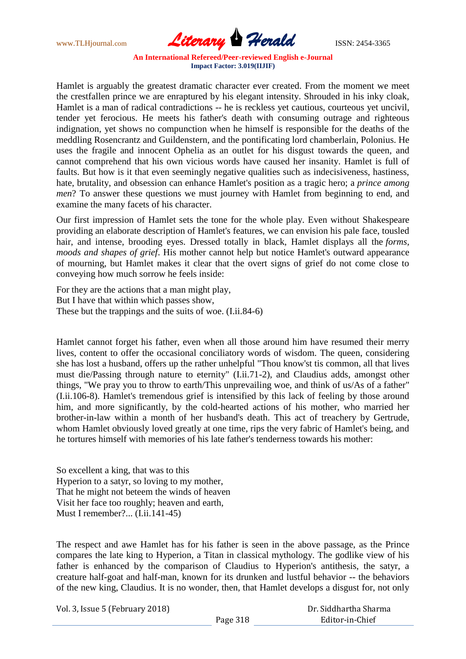www.TLHjournal.com **Literary Herald** ISSN: 2454-3365

Hamlet is arguably the greatest dramatic character ever created. From the moment we meet the crestfallen prince we are enraptured by his elegant intensity. Shrouded in his inky cloak, Hamlet is a man of radical contradictions -- he is reckless yet cautious, courteous yet uncivil, tender yet ferocious. He meets his father's death with consuming outrage and righteous indignation, yet shows no compunction when he himself is responsible for the deaths of the meddling Rosencrantz and Guildenstern, and the pontificating lord chamberlain, Polonius. He uses the fragile and innocent Ophelia as an outlet for his disgust towards the queen, and cannot comprehend that his own vicious words have caused her insanity. Hamlet is full of faults. But how is it that even seemingly negative qualities such as indecisiveness, hastiness, hate, brutality, and obsession can enhance Hamlet's position as a tragic hero; a *prince among men*? To answer these questions we must journey with Hamlet from beginning to end, and examine the many facets of his character.

Our first impression of Hamlet sets the tone for the whole play. Even without Shakespeare providing an elaborate description of Hamlet's features, we can envision his pale face, tousled hair, and intense, brooding eyes. Dressed totally in black, Hamlet displays all the *forms, moods and shapes of grief*. His mother cannot help but notice Hamlet's outward appearance of mourning, but Hamlet makes it clear that the overt signs of grief do not come close to conveying how much sorrow he feels inside:

For they are the actions that a man might play, But I have that within which passes show, These but the trappings and the suits of woe. (I.ii.84-6)

Hamlet cannot forget his father, even when all those around him have resumed their merry lives, content to offer the occasional conciliatory words of wisdom. The queen, considering she has lost a husband, offers up the rather unhelpful "Thou know'st tis common, all that lives must die/Passing through nature to eternity" (I.ii.71-2), and Claudius adds, amongst other things, "We pray you to throw to earth/This unprevailing woe, and think of us/As of a father" (I.ii.106-8). Hamlet's tremendous grief is intensified by this lack of feeling by those around him, and more significantly, by the cold-hearted actions of his mother, who married her brother-in-law within a month of her husband's death. This act of treachery by Gertrude, whom Hamlet obviously loved greatly at one time, rips the very fabric of Hamlet's being, and he tortures himself with memories of his late father's tenderness towards his mother:

So excellent a king, that was to this Hyperion to a satyr, so loving to my mother, That he might not beteem the winds of heaven Visit her face too roughly; heaven and earth, Must I remember?... (I.ii.141-45)

The respect and awe Hamlet has for his father is seen in the above passage, as the Prince compares the late king to Hyperion, a Titan in classical mythology. The godlike view of his father is enhanced by the comparison of Claudius to Hyperion's antithesis, the satyr, a creature half-goat and half-man, known for its drunken and lustful behavior -- the behaviors of the new king, Claudius. It is no wonder, then, that Hamlet develops a disgust for, not only

| Vol. 3, Issue 5 (February 2018) | Dr. Siddhartha Sharma |                 |
|---------------------------------|-----------------------|-----------------|
|                                 | Page 318              | Editor-in-Chief |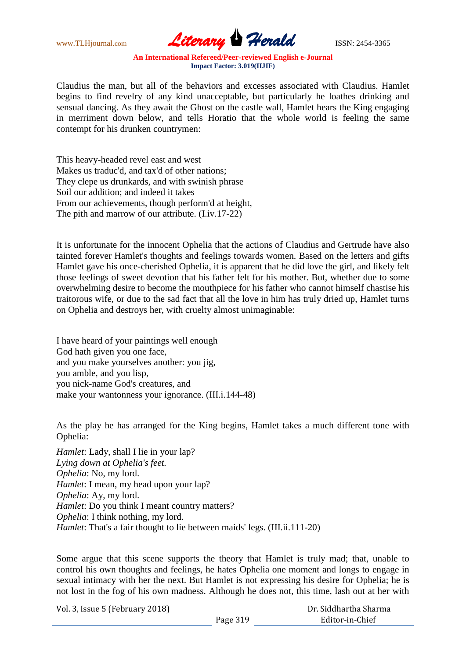www.TLHjournal.com **Literary Herald** ISSN: 2454-3365

Claudius the man, but all of the behaviors and excesses associated with Claudius. Hamlet begins to find revelry of any kind unacceptable, but particularly he loathes drinking and sensual dancing. As they await the Ghost on the castle wall, Hamlet hears the King engaging in merriment down below, and tells Horatio that the whole world is feeling the same contempt for his drunken countrymen:

This heavy-headed revel east and west Makes us traduc'd, and tax'd of other nations; They clepe us drunkards, and with swinish phrase Soil our addition; and indeed it takes From our achievements, though perform'd at height, The pith and marrow of our attribute. (I.iv.17-22)

It is unfortunate for the innocent Ophelia that the actions of Claudius and Gertrude have also tainted forever Hamlet's thoughts and feelings towards women. Based on the letters and gifts Hamlet gave his once-cherished Ophelia, it is apparent that he did love the girl, and likely felt those feelings of sweet devotion that his father felt for his mother. But, whether due to some overwhelming desire to become the mouthpiece for his father who cannot himself chastise his traitorous wife, or due to the sad fact that all the love in him has truly dried up, Hamlet turns on Ophelia and destroys her, with cruelty almost unimaginable:

I have heard of your paintings well enough God hath given you one face, and you make yourselves another: you jig, you amble, and you lisp, you nick-name God's creatures, and make your wantonness your ignorance. (III.i.144-48)

As the play he has arranged for the King begins, Hamlet takes a much different tone with Ophelia:

*Hamlet*: Lady, shall I lie in your lap? *Lying down at Ophelia's feet. Ophelia*: No, my lord. *Hamlet*: I mean, my head upon your lap? *Ophelia*: Ay, my lord. *Hamlet*: Do you think I meant country matters? *Ophelia*: I think nothing, my lord. *Hamlet*: That's a fair thought to lie between maids' legs. (III.ii.111-20)

Some argue that this scene supports the theory that Hamlet is truly mad; that, unable to control his own thoughts and feelings, he hates Ophelia one moment and longs to engage in sexual intimacy with her the next. But Hamlet is not expressing his desire for Ophelia; he is not lost in the fog of his own madness. Although he does not, this time, lash out at her with

| Vol. 3, Issue 5 (February 2018) | Dr. Siddhartha Sharma |                 |
|---------------------------------|-----------------------|-----------------|
|                                 | Page 319              | Editor-in-Chief |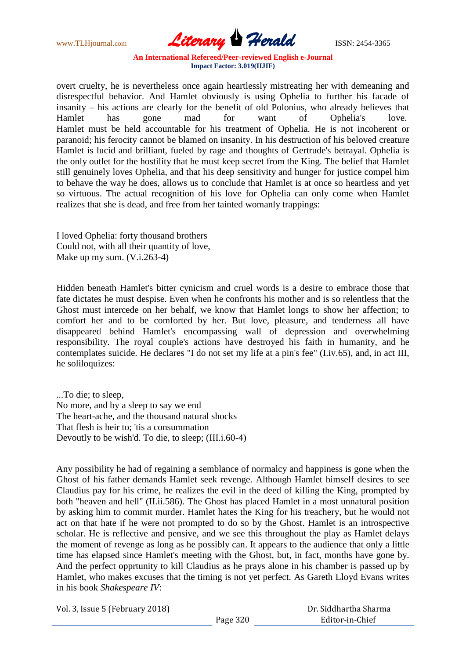

overt cruelty, he is nevertheless once again heartlessly mistreating her with demeaning and disrespectful behavior. And Hamlet obviously is using Ophelia to further his facade of insanity – his actions are clearly for the benefit of old Polonius, who already believes that Hamlet has gone mad for want of Ophelia's love. Hamlet must be held accountable for his treatment of Ophelia. He is not incoherent or paranoid; his ferocity cannot be blamed on insanity. In his destruction of his beloved creature Hamlet is lucid and brilliant, fueled by rage and thoughts of Gertrude's betrayal. Ophelia is the only outlet for the hostility that he must keep secret from the King. The belief that Hamlet still genuinely loves Ophelia, and that his deep sensitivity and hunger for justice compel him to behave the way he does, allows us to conclude that Hamlet is at once so heartless and yet so virtuous. The actual recognition of his love for Ophelia can only come when Hamlet realizes that she is dead, and free from her tainted womanly trappings:

I loved Ophelia: forty thousand brothers Could not, with all their quantity of love, Make up my sum. (V.i.263-4)

Hidden beneath Hamlet's bitter cynicism and cruel words is a desire to embrace those that fate dictates he must despise. Even when he confronts his mother and is so relentless that the Ghost must intercede on her behalf, we know that Hamlet longs to show her affection; to comfort her and to be comforted by her. But love, pleasure, and tenderness all have disappeared behind Hamlet's encompassing wall of depression and overwhelming responsibility. The royal couple's actions have destroyed his faith in humanity, and he contemplates suicide. He declares "I do not set my life at a pin's fee" (I.iv.65), and, in act III, he soliloquizes:

...To die; to sleep, No more, and by a sleep to say we end The heart-ache, and the thousand natural shocks That flesh is heir to: 'tis a consummation Devoutly to be wish'd. To die, to sleep; (III.i.60-4)

Any possibility he had of regaining a semblance of normalcy and happiness is gone when the Ghost of his father demands Hamlet seek revenge. Although Hamlet himself desires to see Claudius pay for his crime, he realizes the evil in the deed of killing the King, prompted by both "heaven and hell" (II.ii.586). The Ghost has placed Hamlet in a most unnatural position by asking him to commit murder. Hamlet hates the King for his treachery, but he would not act on that hate if he were not prompted to do so by the Ghost. Hamlet is an introspective scholar. He is reflective and pensive, and we see this throughout the play as Hamlet delays the moment of revenge as long as he possibly can. It appears to the audience that only a little time has elapsed since Hamlet's meeting with the Ghost, but, in fact, months have gone by. And the perfect opprtunity to kill Claudius as he prays alone in his chamber is passed up by Hamlet, who makes excuses that the timing is not yet perfect. As Gareth Lloyd Evans writes in his book *Shakespeare IV*:

Vol. 3, Issue 5 (February 2018)

| Dr. Siddhartha Sharma |
|-----------------------|
| Editor-in-Chief       |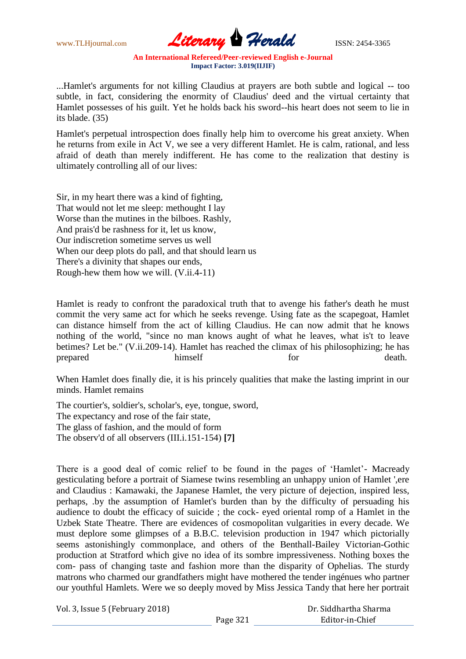

...Hamlet's arguments for not killing Claudius at prayers are both subtle and logical -- too subtle, in fact, considering the enormity of Claudius' deed and the virtual certainty that Hamlet possesses of his guilt. Yet he holds back his sword--his heart does not seem to lie in its blade. (35)

Hamlet's perpetual introspection does finally help him to overcome his great anxiety. When he returns from exile in Act V, we see a very different Hamlet. He is calm, rational, and less afraid of death than merely indifferent. He has come to the realization that destiny is ultimately controlling all of our lives:

Sir, in my heart there was a kind of fighting, That would not let me sleep: methought I lay Worse than the mutines in the bilboes. Rashly, And prais'd be rashness for it, let us know, Our indiscretion sometime serves us well When our deep plots do pall, and that should learn us There's a divinity that shapes our ends, Rough-hew them how we will. (V.ii.4-11)

Hamlet is ready to confront the paradoxical truth that to avenge his father's death he must commit the very same act for which he seeks revenge. Using fate as the scapegoat, Hamlet can distance himself from the act of killing Claudius. He can now admit that he knows nothing of the world, "since no man knows aught of what he leaves, what is't to leave betimes? Let be." (V.ii.209-14). Hamlet has reached the climax of his philosophizing; he has prepared himself for death.

When Hamlet does finally die, it is his princely qualities that make the lasting imprint in our minds. Hamlet remains

The courtier's, soldier's, scholar's, eye, tongue, sword, The expectancy and rose of the fair state, The glass of fashion, and the mould of form The observ'd of all observers (III.i.151-154) **[7]**

There is a good deal of comic relief to be found in the pages of 'Hamlet'- Macready gesticulating before a portrait of Siamese twins resembling an unhappy union of Hamlet ',ere and Claudius : Kamawaki, the Japanese Hamlet, the very picture of dejection, inspired less, perhaps, .by the assumption of Hamlet's burden than by the difficulty of persuading his audience to doubt the efficacy of suicide ; the cock- eyed oriental romp of a Hamlet in the Uzbek State Theatre. There are evidences of cosmopolitan vulgarities in every decade. We must deplore some glimpses of a B.B.C. television production in 1947 which pictorially seems astonishingly commonplace, and others of the Benthall-Bailey Victorian-Gothic production at Stratford which give no idea of its sombre impressiveness. Nothing boxes the com- pass of changing taste and fashion more than the disparity of Ophelias. The sturdy matrons who charmed our grandfathers might have mothered the tender ingénues who partner our youthful Hamlets. Were we so deeply moved by Miss Jessica Tandy that here her portrait

| Vol. 3, Issue 5 (February 2018) | Dr. Siddhartha Sharma |                 |
|---------------------------------|-----------------------|-----------------|
|                                 | Page 321              | Editor-in-Chief |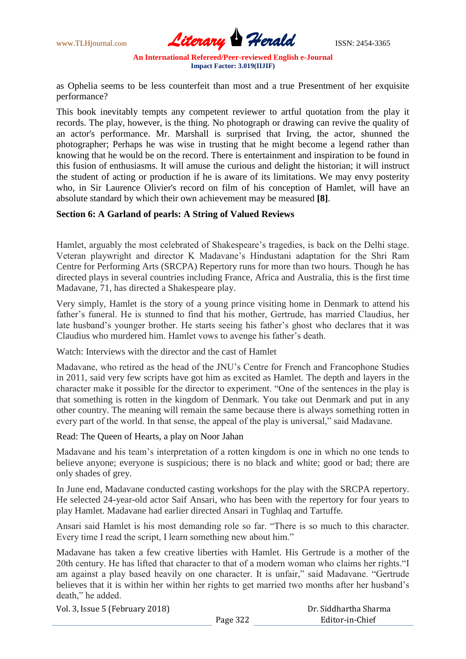

as Ophelia seems to be less counterfeit than most and a true Presentment of her exquisite performance?

This book inevitably tempts any competent reviewer to artful quotation from the play it records. The play, however, is the thing. No photograph or drawing can revive the quality of an actor's performance. Mr. Marshall is surprised that Irving, the actor, shunned the photographer; Perhaps he was wise in trusting that he might become a legend rather than knowing that he would be on the record. There is entertainment and inspiration to be found in this fusion of enthusiasms. It will amuse the curious and delight the historian; it will instruct the student of acting or production if he is aware of its limitations. We may envy posterity who, in Sir Laurence Olivier's record on film of his conception of Hamlet, will have an absolute standard by which their own achievement may be measured **[8]**.

# **Section 6: A Garland of pearls: A String of Valued Reviews**

Hamlet, arguably the most celebrated of Shakespeare's tragedies, is back on the Delhi stage. Veteran playwright and director K Madavane's Hindustani adaptation for the Shri Ram Centre for Performing Arts (SRCPA) Repertory runs for more than two hours. Though he has directed plays in several countries including France, Africa and Australia, this is the first time Madavane, 71, has directed a Shakespeare play.

Very simply, Hamlet is the story of a young prince visiting home in Denmark to attend his father's funeral. He is stunned to find that his mother, Gertrude, has married Claudius, her late husband's younger brother. He starts seeing his father's ghost who declares that it was Claudius who murdered him. Hamlet vows to avenge his father's death.

Watch: Interviews with the director and the cast of Hamlet

Madavane, who retired as the head of the JNU's Centre for French and Francophone Studies in 2011, said very few scripts have got him as excited as Hamlet. The depth and layers in the character make it possible for the director to experiment. "One of the sentences in the play is that something is rotten in the kingdom of Denmark. You take out Denmark and put in any other country. The meaning will remain the same because there is always something rotten in every part of the world. In that sense, the appeal of the play is universal," said Madavane.

[Read: The Queen of Hearts, a play on Noor Jahan](http://www.hindustantimes.com/entertainment/mrs-iron-fist-and-the-queen-of-hearts-a-play-on-noor-jahan/story-CgUMlzr0nQXpYHqJQecTBI.html)

Madavane and his team's interpretation of a rotten kingdom is one in which no one tends to believe anyone; everyone is suspicious; there is no black and white; good or bad; there are only shades of grey.

In June end, Madavane conducted casting workshops for the play with the SRCPA repertory. He selected 24-year-old actor Saif Ansari, who has been with the repertory for four years to play Hamlet. Madavane had earlier directed Ansari in Tughlaq and Tartuffe.

Ansari said Hamlet is his most demanding role so far. "There is so much to this character. Every time I read the script, I learn something new about him."

Madavane has taken a few creative liberties with Hamlet. His Gertrude is a mother of the 20th century. He has lifted that character to that of a modern woman who claims her rights. "I am against a play based heavily on one character. It is unfair," said Madavane. "Gertrude believes that it is within her within her rights to get married two months after her husband's death." he added.

Vol. 3, Issue 5 (February 2018)

| Dr. Siddhartha Sharma |
|-----------------------|
| Editor-in-Chief       |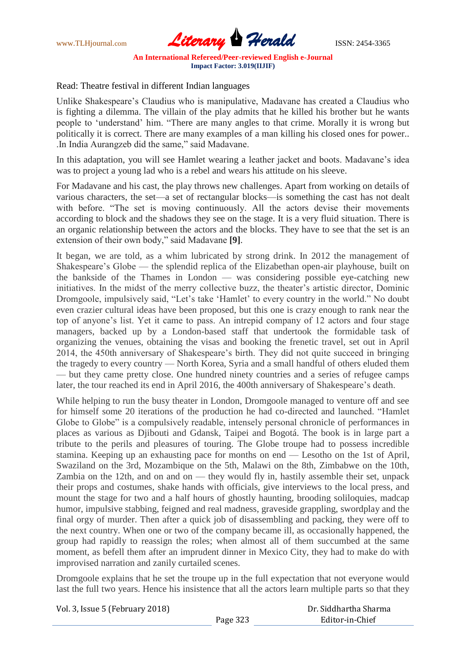

[Read: Theatre festival in different Indian languages](http://www.hindustantimes.com/art-and-culture/mahindra-fest-to-celebrate-theatre-in-different-indian-languages/story-q53rnLcwkbcJXzfWGG51KL.html)

Unlike Shakespeare's Claudius who is manipulative, Madavane has created a Claudius who is fighting a dilemma. The villain of the play admits that he killed his brother but he wants people to 'understand' him. "There are many angles to that crime. Morally it is wrong but politically it is correct. There are many examples of a man killing his closed ones for power.. .In India Aurangzeb did the same," said Madavane.

In this adaptation, you will see Hamlet wearing a leather jacket and boots. Madavane's idea was to project a young lad who is a rebel and wears his attitude on his sleeve.

For Madavane and his cast, the play throws new challenges. Apart from working on details of various characters, the set—a set of rectangular blocks—is something the cast has not dealt with before. "The set is moving continuously. All the actors devise their movements according to block and the shadows they see on the stage. It is a very fluid situation. There is an organic relationship between the actors and the blocks. They have to see that the set is an extension of their own body," said Madavane [9].

It began, we are told, as a whim lubricated by strong drink. In 2012 the management of Shakespeare's Globe — the splendid replica of the Elizabethan open-air playhouse, built on the bankside of the Thames in London — was considering possible eye-catching new initiatives. In the midst of the merry collective buzz, the theater's artistic director, Dominic Dromgoole, impulsively said, "Let's take 'Hamlet' to every country in the world." No doubt even crazier cultural ideas have been proposed, but this one is crazy enough to rank near the top of anyone's list. Yet it came to pass. An intrepid company of 12 actors and four stage managers, backed up by a London-based staff that undertook the formidable task of organizing the venues, obtaining the visas and booking the frenetic travel, set out in April 2014, the 450th anniversary of Shakespeare's birth. They did not quite succeed in bringing the tragedy to every country — North Korea, Syria and a small handful of others eluded them — but they came pretty close. One hundred ninety countries and a series of refugee camps later, the tour reached its end in April 2016, the 400th anniversary of Shakespeare's death.

While helping to run the busy theater in London, Dromgoole managed to venture off and see for himself some 20 iterations of the production he had co-directed and launched. "Hamlet Globe to Globe" is a compulsively readable, intensely personal chronicle of performances in places as various as Djibouti and Gdansk, Taipei and Bogotá. The book is in large part a tribute to the perils and pleasures of touring. The Globe troupe had to possess incredible stamina. Keeping up an exhausting pace for months on end — Lesotho on the 1st of April, Swaziland on the 3rd, Mozambique on the 5th, Malawi on the 8th, Zimbabwe on the 10th, Zambia on the 12th, and on and on — they would fly in, hastily assemble their set, unpack their props and costumes, shake hands with officials, give interviews to the local press, and mount the stage for two and a half hours of ghostly haunting, brooding soliloquies, madcap humor, impulsive stabbing, feigned and real madness, graveside grappling, swordplay and the final orgy of murder. Then after a quick job of disassembling and packing, they were off to the next country. When one or two of the company became ill, as occasionally happened, the group had rapidly to reassign the roles; when almost all of them succumbed at the same moment, as befell them after an imprudent dinner in Mexico City, they had to make do with improvised narration and zanily curtailed scenes.

Dromgoole explains that he set the troupe up in the full expectation that not everyone would last the full two years. Hence his insistence that all the actors learn multiple parts so that they

| Vol. 3, Issue 5 (February 2018) |  |  |
|---------------------------------|--|--|
|---------------------------------|--|--|

| Dr. Siddhartha Sharma |
|-----------------------|
| Editor-in-Chief       |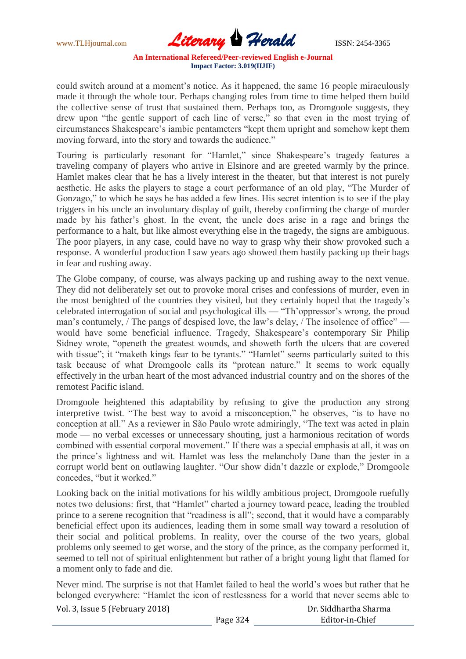www.TLHjournal.com **Literary Herald** ISSN: 2454-3365

could switch around at a moment's notice. As it happened, the same 16 people miraculously made it through the whole tour. Perhaps changing roles from time to time helped them build the collective sense of trust that sustained them. Perhaps too, as Dromgoole suggests, they drew upon "the gentle support of each line of verse," so that even in the most trying of circumstances Shakespeare's iambic pentameters "kept them upright and somehow kept them moving forward, into the story and towards the audience."

Touring is particularly resonant for "Hamlet," since Shakespeare's tragedy features a traveling company of players who arrive in Elsinore and are greeted warmly by the prince. Hamlet makes clear that he has a lively interest in the theater, but that interest is not purely aesthetic. He asks the players to stage a court performance of an old play, "The Murder of Gonzago," to which he says he has added a few lines. His secret intention is to see if the play triggers in his uncle an involuntary display of guilt, thereby confirming the charge of murder made by his father's ghost. In the event, the uncle does arise in a rage and brings the performance to a halt, but like almost everything else in the tragedy, the signs are ambiguous. The poor players, in any case, could have no way to grasp why their show provoked such a response. A wonderful production I saw years ago showed them hastily packing up their bags in fear and rushing away.

The Globe company, of course, was always packing up and rushing away to the next venue. They did not deliberately set out to provoke moral crises and confessions of murder, even in the most benighted of the countries they visited, but they certainly hoped that the tragedy's celebrated interrogation of social and psychological ills — "Th'oppressor's wrong, the proud man's contumely, / The pangs of despised love, the law's delay, / The insolence of office" would have some beneficial influence. Tragedy, Shakespeare's contemporary Sir Philip Sidney wrote, "openeth the greatest wounds, and showeth forth the ulcers that are covered with tissue"; it "maketh kings fear to be tyrants." "Hamlet" seems particularly suited to this task because of what Dromgoole calls its "protean nature." It seems to work equally effectively in the urban heart of the most advanced industrial country and on the shores of the remotest Pacific island.

Dromgoole heightened this adaptability by refusing to give the production any strong interpretive twist. "The best way to avoid a misconception," he observes, "is to have no conception at all." As a reviewer in São Paulo wrote admiringly, "The text was acted in plain mode — no verbal excesses or unnecessary shouting, just a harmonious recitation of words combined with essential corporal movement." If there was a special emphasis at all, it was on the prince's lightness and wit. Hamlet was less the melancholy Dane than the jester in a corrupt world bent on outlawing laughter. "Our show didn't dazzle or explode," Dromgoole concedes, "but it worked."

Looking back on the initial motivations for his wildly ambitious project, Dromgoole ruefully notes two delusions: first, that "Hamlet" charted a journey toward peace, leading the troubled prince to a serene recognition that "readiness is all"; second, that it would have a comparably beneficial effect upon its audiences, leading them in some small way toward a resolution of their social and political problems. In reality, over the course of the two years, global problems only seemed to get worse, and the story of the prince, as the company performed it, seemed to tell not of spiritual enlightenment but rather of a bright young light that flamed for a moment only to fade and die.

Never mind. The surprise is not that Hamlet failed to heal the world's woes but rather that he belonged everywhere: "Hamlet the icon of restlessness for a world that never seems able to

| Vol. 3, Issue 5 (February 2018) |          | Dr. Siddhartha Sharma |
|---------------------------------|----------|-----------------------|
|                                 | Page 324 | Editor-in-Chief       |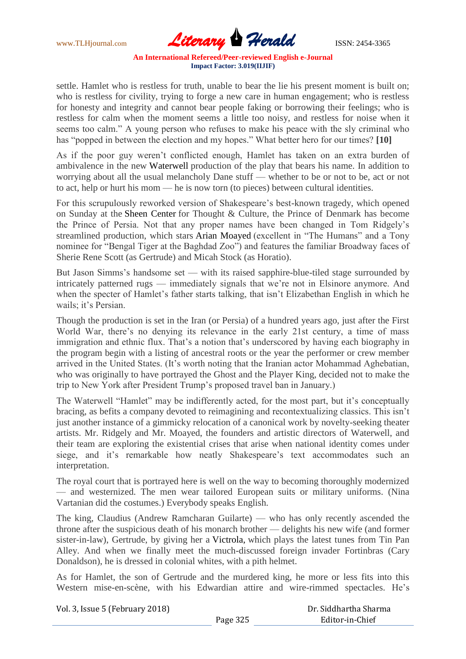

settle. Hamlet who is restless for truth, unable to bear the lie his present moment is built on; who is restless for civility, trying to forge a new care in human engagement; who is restless for honesty and integrity and cannot bear people faking or borrowing their feelings; who is restless for calm when the moment seems a little too noisy, and restless for noise when it seems too calm." A young person who refuses to make his peace with the sly criminal who has "popped in between the election and my hopes." What better hero for our times? [10]

As if the poor guy weren't conflicted enough, Hamlet has taken on an extra burden of ambivalence in the new [Waterwell](http://waterwell.org/) production of the play that bears his name. In addition to worrying about all the usual melancholy Dane stuff — whether to be or not to be, act or not to act, help or hurt his mom — he is now torn (to pieces) between cultural identities.

For this scrupulously reworked version of Shakespeare's best-known tragedy, which opened on Sunday at the [Sheen Center](https://sheencenter.org/) for Thought & Culture, the Prince of Denmark has become the Prince of Persia. Not that any proper names have been changed in Tom Ridgely's streamlined production, which stars [Arian Moayed](http://www.nytimes.com/2011/05/02/theater/arian-moayed-is-acclaimed-for-bengal-tiger-and-waterwell.html) (excellent in "The Humans" and a Tony nominee for "Bengal Tiger at the Baghdad Zoo") and features the familiar Broadway faces of Sherie Rene Scott (as Gertrude) and Micah Stock (as Horatio).

But Jason Simms's handsome set — with its raised sapphire-blue-tiled stage surrounded by intricately patterned rugs — immediately signals that we're not in Elsinore anymore. And when the specter of Hamlet's father starts talking, that isn't Elizabethan English in which he wails; it's Persian.

Though the production is set in the Iran (or Persia) of a hundred years ago, just after the First World War, there's no denying its relevance in the early 21st century, a time of mass immigration and ethnic flux. That's a notion that's underscored by having each biography in the program begin with a listing of ancestral roots or the year the performer or crew member arrived in the United States. (It's worth noting that the Iranian actor Mohammad Aghebatian, who was originally to have portrayed the Ghost and the Player King, decided not to make the trip to New York after President Trump's proposed travel ban in January.)

The Waterwell "Hamlet" may be indifferently acted, for the most part, but it's conceptually bracing, as befits a company devoted to reimagining and recontextualizing classics. This isn't just another instance of a gimmicky relocation of a canonical work by novelty-seeking theater artists. Mr. Ridgely and Mr. Moayed, the founders and artistic directors of Waterwell, and their team are exploring the existential crises that arise when national identity comes under siege, and it's remarkable how neatly Shakespeare's text accommodates such an interpretation.

The royal court that is portrayed here is well on the way to becoming thoroughly modernized — and westernized. The men wear tailored European suits or military uniforms. (Nina Vartanian did the costumes.) Everybody speaks English.

The king, Claudius (Andrew Ramcharan Guilarte) — who has only recently ascended the throne after the suspicious death of his monarch brother — delights his new wife (and former sister-in-law), Gertrude, by giving her a [Victrola,](http://victor-victrola.com/) which plays the latest tunes from Tin Pan Alley. And when we finally meet the much-discussed foreign invader Fortinbras (Cary Donaldson), he is dressed in colonial whites, with a pith helmet.

As for Hamlet, the son of Gertrude and the murdered king, he more or less fits into this Western mise-en-scène, with his Edwardian attire and wire-rimmed spectacles. He's

| Vol. 3, Issue 5 (February 2018) |          | Dr. Siddhartha Sharma |
|---------------------------------|----------|-----------------------|
|                                 | Page 325 | Editor-in-Chief       |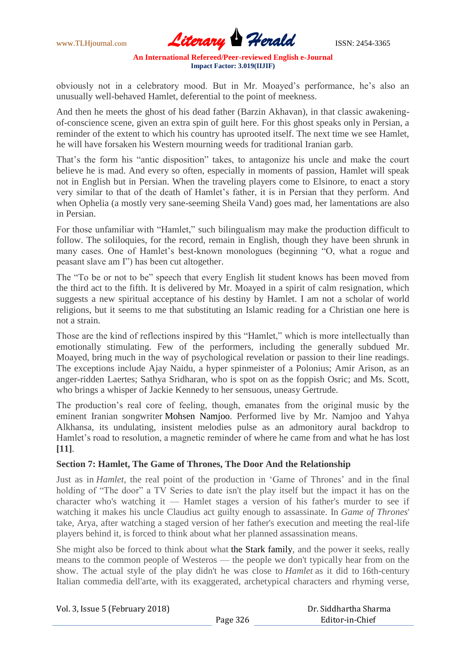

obviously not in a celebratory mood. But in Mr. Moayed's performance, he's also an unusually well-behaved Hamlet, deferential to the point of meekness.

And then he meets the ghost of his dead father (Barzin Akhavan), in that classic awakeningof-conscience scene, given an extra spin of guilt here. For this ghost speaks only in Persian, a reminder of the extent to which his country has uprooted itself. The next time we see Hamlet, he will have forsaken his Western mourning weeds for traditional Iranian garb.

That's the form his "antic disposition" takes, to antagonize his uncle and make the court believe he is mad. And every so often, especially in moments of passion, Hamlet will speak not in English but in Persian. When the traveling players come to Elsinore, to enact a story very similar to that of the death of Hamlet's father, it is in Persian that they perform. And when Ophelia (a mostly very sane-seeming Sheila Vand) goes mad, her lamentations are also in Persian.

For those unfamiliar with "Hamlet," such bilingualism may make the production difficult to follow. The soliloquies, for the record, remain in English, though they have been shrunk in many cases. One of Hamlet's best-known monologues (beginning "O, what a rogue and peasant slave am I") has been cut altogether.

The "To be or not to be" speech that every English lit student knows has been moved from the third act to the fifth. It is delivered by Mr. Moayed in a spirit of calm resignation, which suggests a new spiritual acceptance of his destiny by Hamlet. I am not a scholar of world religions, but it seems to me that substituting an Islamic reading for a Christian one here is not a strain.

Those are the kind of reflections inspired by this "Hamlet," which is more intellectually than emotionally stimulating. Few of the performers, including the generally subdued Mr. Moayed, bring much in the way of psychological revelation or passion to their line readings. The exceptions include Ajay Naidu, a hyper spinmeister of a Polonius; Amir Arison, as an anger-ridden Laertes; Sathya Sridharan, who is spot on as the foppish Osric; and Ms. Scott, who brings a whisper of Jackie Kennedy to her sensuous, uneasy Gertrude.

The production's real core of feeling, though, emanates from the original music by the eminent Iranian songwriter [Mohsen Namjoo.](https://www.mohsennamjoo.com/) Performed live by Mr. Namjoo and Yahya Alkhansa, its undulating, insistent melodies pulse as an admonitory aural backdrop to Hamlet's road to resolution, a magnetic reminder of where he came from and what he has lost **[11]**.

# **Section 7: Hamlet, The Game of Thrones, The Door And the Relationship**

Just as in *Hamlet*, the real point of the production in 'Game of Thrones' and in the final holding of "The door" a TV Series to date isn't the play itself but the impact it has on the character who's watching it — Hamlet stages a version of his father's murder to see if watching it makes his uncle Claudius act guilty enough to assassinate. In *Game of Thrones*' take, Arya, after watching a staged version of her father's execution and meeting the real-life players behind it, is forced to think about what her planned assassination means.

She might also be forced to think about what [the Stark family,](http://www.vox.com/2016/5/23/11742992/game-of-thrones-the-door-recap-review-starks/in/11292403) and the power it seeks, really means to the common people of Westeros — the people we don't typically hear from on the show. The actual style of the play didn't he was close to *Hamlet* as it did to 16th-century Italian commedia dell'arte*,* with its exaggerated, archetypical characters and rhyming verse,

| Vol. 3, Issue 5 (February 2018) |          | Dr. Siddhartha Sharma |
|---------------------------------|----------|-----------------------|
|                                 | Page 326 | Editor-in-Chief       |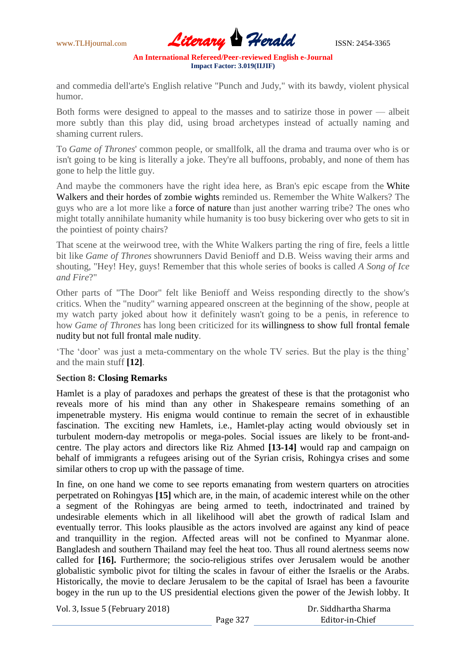

and commedia dell'arte's English relative "Punch and Judy," with its bawdy, violent physical humor.

Both forms were designed to appeal to the masses and to satirize those in power — albeit more subtly than this play did, using broad archetypes instead of actually naming and shaming current rulers.

To *Game of Thrones*' common people, or smallfolk, all the drama and trauma over who is or isn't going to be king is literally a joke. They're all buffoons, probably, and none of them has gone to help the little guy.

And maybe the commoners have the right idea here, as Bran's epic escape from the [White](http://www.vox.com/2016/5/22/11740486/game-of-thrones-white-walker-other-wight)  [Walkers and their hordes of zombie wights](http://www.vox.com/2016/5/22/11740486/game-of-thrones-white-walker-other-wight) reminded us. Remember the White Walkers? The guys who are a lot more like a [force of nature](http://www.vox.com/2016/5/23/11742006/game-of-thrones-season-6-episode-5-white-walkers-climate-change) than just another warring tribe? The ones who might totally annihilate humanity while humanity is too busy bickering over who gets to sit in the pointiest of pointy chairs?

That scene at the weirwood tree, with the White Walkers parting the ring of fire, feels a little bit like *Game of Thrones* showrunners David Benioff and D.B. Weiss waving their arms and shouting, "Hey! Hey, guys! Remember that this whole series of books is called *A Song of Ice and Fire*?"

Other parts of "The Door" felt like Benioff and Weiss responding directly to the show's critics. When the "nudity" warning appeared onscreen at the beginning of the show, people at my watch party joked about how it definitely wasn't going to be a penis, in reference to how *Game of Thrones* has long been criticized for its [willingness to show full frontal female](http://www.mirror.co.uk/tv/tv-news/emilia-clarke-demands-game-thrones-7786329)  [nudity but not full frontal male nudity.](http://www.mirror.co.uk/tv/tv-news/emilia-clarke-demands-game-thrones-7786329)

‗The ‗door' was just a meta-commentary on the whole TV series. But the play is the thing' and the main stuff **[12]**.

# **Section 8: Closing Remarks**

Hamlet is a play of paradoxes and perhaps the greatest of these is that the protagonist who reveals more of his mind than any other in Shakespeare remains something of an impenetrable mystery. His enigma would continue to remain the secret of in exhaustible fascination. The exciting new Hamlets, i.e., Hamlet-play acting would obviously set in turbulent modern-day metropolis or mega-poles. Social issues are likely to be front-andcentre. The play actors and directors like Riz Ahmed **[13-14]** would rap and campaign on behalf of immigrants a refugees arising out of the Syrian crisis, Rohingya crises and some similar others to crop up with the passage of time.

In fine, on one hand we come to see reports emanating from western quarters on atrocities perpetrated on Rohingyas **[15]** which are, in the main, of academic interest while on the other a segment of the Rohingyas are being armed to teeth, indoctrinated and trained by undesirable elements which in all likelihood will abet the growth of radical Islam and eventually terror. This looks plausible as the actors involved are against any kind of peace and tranquillity in the region. Affected areas will not be confined to Myanmar alone. Bangladesh and southern Thailand may feel the heat too. Thus all round alertness seems now called for **[16].** Furthermore; the socio-religious strifes over Jerusalem would be another globalistic symbolic pivot for tilting the scales in favour of either the Israelis or the Arabs. Historically, the movie to declare Jerusalem to be the capital of Israel has been a favourite bogey in the run up to the US presidential elections given the power of the Jewish lobby. It

Vol. 3, Issue 5 (February 2018)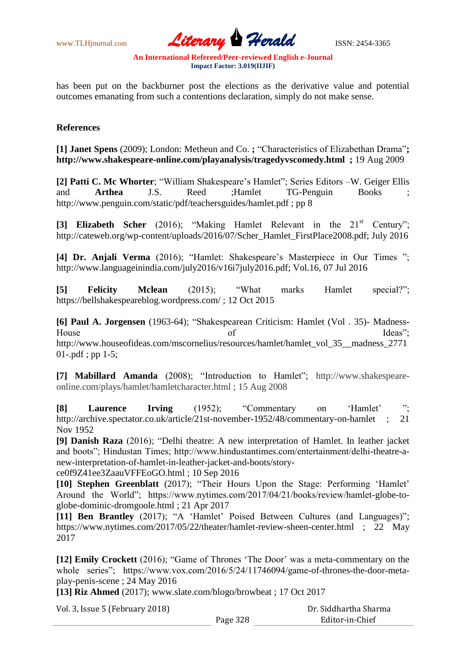www.TLHjournal.com *Literary Herald* ISSN: 2454-3365

has been put on the backburner post the elections as the derivative value and potential outcomes emanating from such a contentions declaration, simply do not make sense.

# **References**

[1] Janet Spens (2009); London: Metheun and Co. ; "Characteristics of Elizabethan Drama"; **http://www.shakespeare-online.com/playanalysis/tragedyvscomedy.html ;** 19 Aug 2009

[2] **Patti C. Mc Whorter**; "William Shakespeare's Hamlet"; Series Editors –W. Geiger Ellis and **Arthea** J.S. Reed ;Hamlet TG-Penguin Books ; http://www.penguin.com/static/pdf/teachersguides/hamlet.pdf ; pp 8

[3] **Elizabeth Scher** (2016); "Making Hamlet Relevant in the 21<sup>st</sup> Century"; http://cateweb.org/wp-content/uploads/2016/07/Scher\_Hamlet\_FirstPlace2008.pdf; July 2016

[4] Dr. Anjali Verma (2016); "Hamlet: Shakespeare's Masterpiece in Our Times "; http://www.languageinindia.com/july2016/v16i7july2016.pdf; Vol.16, 07 Jul 2016

**[5] Felicity Mclean** (2015); "What marks Hamlet special?"; https://bellshakespeareblog.wordpress.com/ ; 12 Oct 2015

[6] Paul A. Jorgensen (1963-64); "Shakespearean Criticism: Hamlet (Vol. 35)- Madness-House of Ideas"; http://www.houseofideas.com/mscornelius/resources/hamlet/hamlet\_vol\_35\_\_madness\_2771 01-.pdf ; pp  $1-5$ ;

[7] Mabillard Amanda (2008); "Introduction to Hamlet"; http://www.shakespeareonline.com/plays/hamlet/hamletcharacter.html ; 15 Aug 2008

**[8] Laurence Irving** (1952); "Commentary on 'Hamlet' "; http://archive.spectator.co.uk/article/21st-november-1952/48/commentary-on-hamlet ; 21 Nov 1952

[9] **Danish Raza** (2016); "Delhi theatre: A new interpretation of Hamlet. In leather jacket and boots"; Hindustan Times; http://www.hindustantimes.com/entertainment/delhi-theatre-anew-interpretation-of-hamlet-in-leather-jacket-and-boots/story-

ce0f9Z41ee3ZaauVFFEoGO.html ; 10 Sep 2016

[10] Stephen Greenblatt (2017); "Their Hours Upon the Stage: Performing 'Hamlet' Around the World"; https://www.nytimes.com/2017/04/21/books/review/hamlet-globe-toglobe-dominic-dromgoole.html ; 21 Apr 2017

[11] **Ben Brantley** (2017); "A 'Hamlet' Poised Between Cultures (and Languages)"; https://www.nytimes.com/2017/05/22/theater/hamlet-review-sheen-center.html ; 22 May 2017

[12] **Emily Crockett** (2016); "Game of Thrones 'The Door' was a meta-commentary on the whole series"; https://www.vox.com/2016/5/24/11746094/game-of-thrones-the-door-metaplay-penis-scene ; 24 May 2016

**[13] Riz Ahmed** (2017); www.slate.com/blogo/browbeat ; 17 Oct 2017

Vol. 3, Issue 5 (February 2018)

 Dr. Siddhartha Sharma Editor-in-Chief